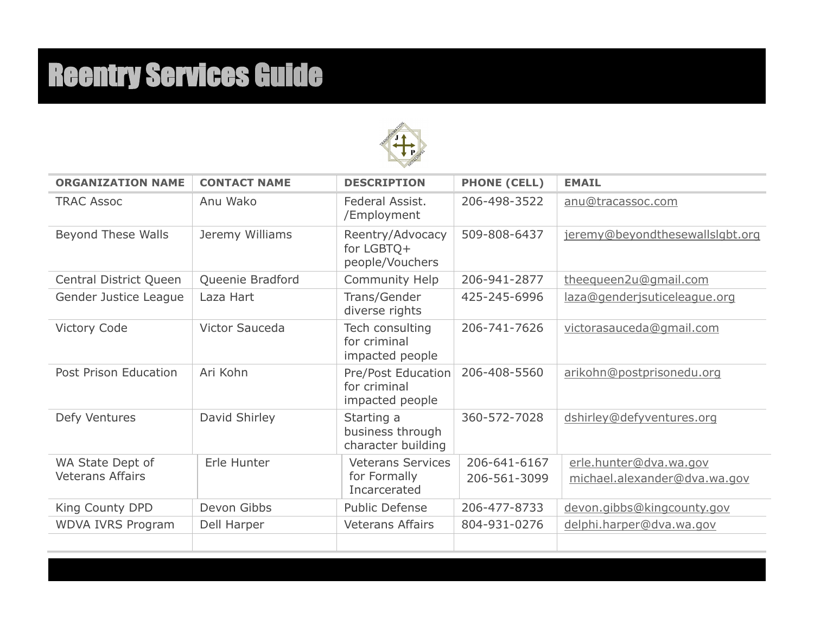# Reentry Services Guide



| <b>ORGANIZATION NAME</b>                    | <b>CONTACT NAME</b> | <b>DESCRIPTION</b>                                       | <b>PHONE (CELL)</b>          | <b>EMAIL</b>                                           |
|---------------------------------------------|---------------------|----------------------------------------------------------|------------------------------|--------------------------------------------------------|
| <b>TRAC Assoc</b>                           | Anu Wako            | Federal Assist.<br>/Employment                           | 206-498-3522                 | anu@tracassoc.com                                      |
| <b>Beyond These Walls</b>                   | Jeremy Williams     | Reentry/Advocacy<br>for $LGBTQ+$<br>people/Vouchers      | 509-808-6437                 | jeremy@beyondthesewallslqbt.org                        |
| Central District Queen                      | Queenie Bradford    | <b>Community Help</b>                                    | 206-941-2877                 | theequeen2u@gmail.com                                  |
| Gender Justice League                       | Laza Hart           | Trans/Gender<br>diverse rights                           | 425-245-6996                 | laza@genderjsuticeleague.org                           |
| <b>Victory Code</b>                         | Victor Sauceda      | Tech consulting<br>for criminal<br>impacted people       | 206-741-7626                 | victorasauceda@gmail.com                               |
| Post Prison Education                       | Ari Kohn            | Pre/Post Education<br>for criminal<br>impacted people    | 206-408-5560                 | arikohn@postprisonedu.org                              |
| Defy Ventures                               | David Shirley       | Starting a<br>business through<br>character building     | 360-572-7028                 | dshirley@defyventures.org                              |
| WA State Dept of<br><b>Veterans Affairs</b> | Erle Hunter         | <b>Veterans Services</b><br>for Formally<br>Incarcerated | 206-641-6167<br>206-561-3099 | erle.hunter@dva.wa.gov<br>michael.alexander@dva.wa.gov |
| King County DPD                             | Devon Gibbs         | <b>Public Defense</b>                                    | 206-477-8733                 | devon.gibbs@kingcounty.gov                             |
| <b>WDVA IVRS Program</b>                    | Dell Harper         | <b>Veterans Affairs</b>                                  | 804-931-0276                 | delphi.harper@dva.wa.gov                               |
|                                             |                     |                                                          |                              |                                                        |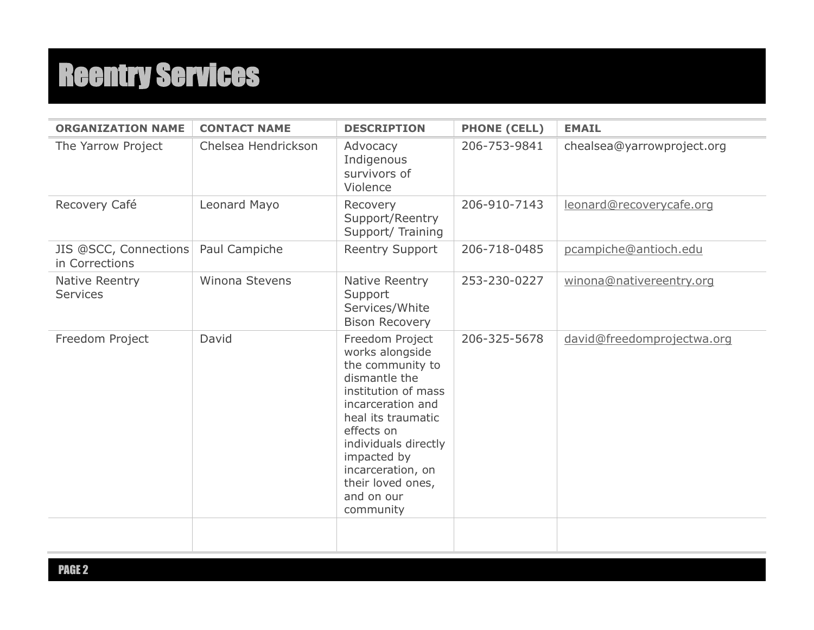| <b>ORGANIZATION NAME</b>                | <b>CONTACT NAME</b>   | <b>DESCRIPTION</b>                                                                                                                                                                                                                                                  | <b>PHONE (CELL)</b> | <b>EMAIL</b>               |
|-----------------------------------------|-----------------------|---------------------------------------------------------------------------------------------------------------------------------------------------------------------------------------------------------------------------------------------------------------------|---------------------|----------------------------|
| The Yarrow Project                      | Chelsea Hendrickson   | Advocacy<br>Indigenous<br>survivors of<br>Violence                                                                                                                                                                                                                  | 206-753-9841        | chealsea@yarrowproject.org |
| Recovery Café                           | Leonard Mayo          | Recovery<br>Support/Reentry<br>Support/Training                                                                                                                                                                                                                     | 206-910-7143        | leonard@recoverycafe.org   |
| JIS @SCC, Connections<br>in Corrections | Paul Campiche         | <b>Reentry Support</b>                                                                                                                                                                                                                                              | 206-718-0485        | pcampiche@antioch.edu      |
| Native Reentry<br><b>Services</b>       | <b>Winona Stevens</b> | Native Reentry<br>Support<br>Services/White<br><b>Bison Recovery</b>                                                                                                                                                                                                | 253-230-0227        | winona@nativereentry.org   |
| Freedom Project                         | David                 | Freedom Project<br>works alongside<br>the community to<br>dismantle the<br>institution of mass<br>incarceration and<br>heal its traumatic<br>effects on<br>individuals directly<br>impacted by<br>incarceration, on<br>their loved ones,<br>and on our<br>community | 206-325-5678        | david@freedomprojectwa.org |
|                                         |                       |                                                                                                                                                                                                                                                                     |                     |                            |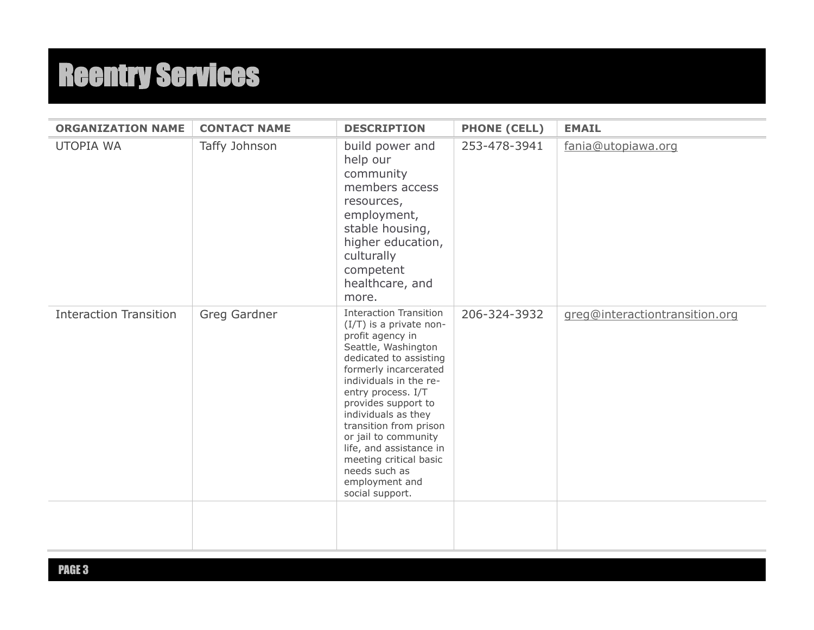| <b>ORGANIZATION NAME</b>      | <b>CONTACT NAME</b> | <b>DESCRIPTION</b>                                                                                                                                                                                                                                                                                                                                                                                                | <b>PHONE (CELL)</b> | <b>EMAIL</b>                   |
|-------------------------------|---------------------|-------------------------------------------------------------------------------------------------------------------------------------------------------------------------------------------------------------------------------------------------------------------------------------------------------------------------------------------------------------------------------------------------------------------|---------------------|--------------------------------|
| <b>UTOPIA WA</b>              | Taffy Johnson       | build power and<br>help our<br>community<br>members access<br>resources,<br>employment,<br>stable housing,<br>higher education,<br>culturally<br>competent<br>healthcare, and<br>more.                                                                                                                                                                                                                            | 253-478-3941        | fania@utopiawa.org             |
| <b>Interaction Transition</b> | Greg Gardner        | <b>Interaction Transition</b><br>(I/T) is a private non-<br>profit agency in<br>Seattle, Washington<br>dedicated to assisting<br>formerly incarcerated<br>individuals in the re-<br>entry process. I/T<br>provides support to<br>individuals as they<br>transition from prison<br>or jail to community<br>life, and assistance in<br>meeting critical basic<br>needs such as<br>employment and<br>social support. | 206-324-3932        | greg@interactiontransition.org |
|                               |                     |                                                                                                                                                                                                                                                                                                                                                                                                                   |                     |                                |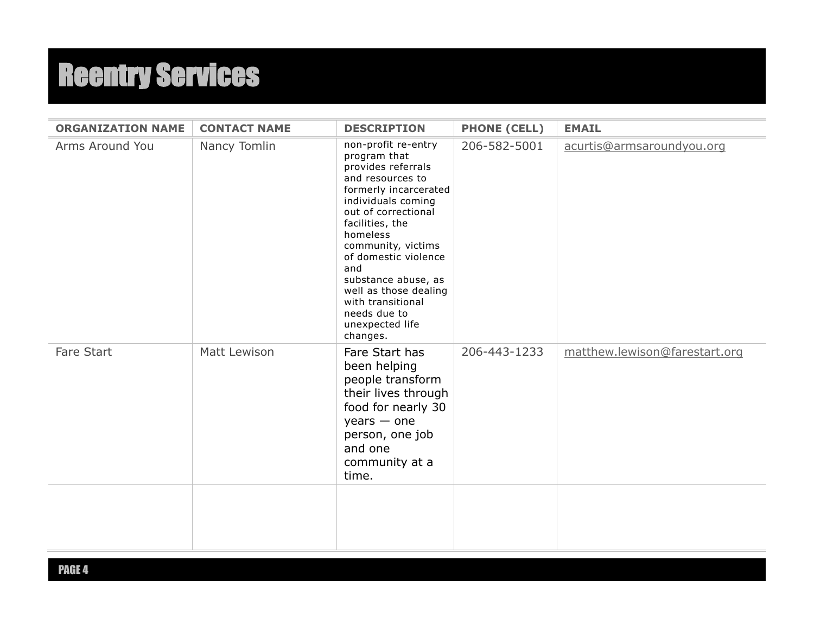| <b>ORGANIZATION NAME</b> | <b>CONTACT NAME</b> | <b>DESCRIPTION</b>                                                                                                                                                                                                                                                                                                                                          | <b>PHONE (CELL)</b> | <b>EMAIL</b>                  |
|--------------------------|---------------------|-------------------------------------------------------------------------------------------------------------------------------------------------------------------------------------------------------------------------------------------------------------------------------------------------------------------------------------------------------------|---------------------|-------------------------------|
| Arms Around You          | Nancy Tomlin        | non-profit re-entry<br>program that<br>provides referrals<br>and resources to<br>formerly incarcerated<br>individuals coming<br>out of correctional<br>facilities, the<br>homeless<br>community, victims<br>of domestic violence<br>and<br>substance abuse, as<br>well as those dealing<br>with transitional<br>needs due to<br>unexpected life<br>changes. | 206-582-5001        | acurtis@armsaroundyou.org     |
| Fare Start               | Matt Lewison        | Fare Start has<br>been helping<br>people transform<br>their lives through<br>food for nearly 30<br>$years - one$<br>person, one job<br>and one<br>community at a<br>time.                                                                                                                                                                                   | 206-443-1233        | matthew.lewison@farestart.org |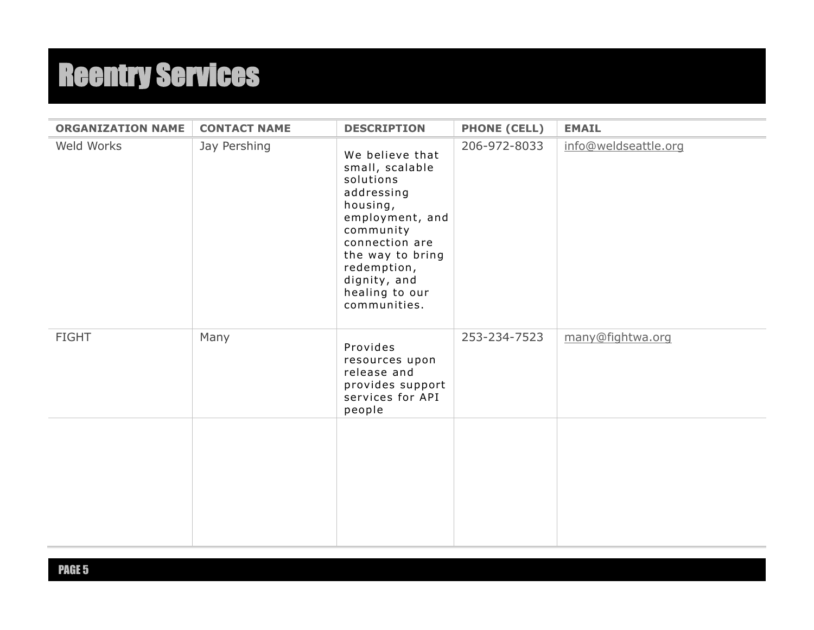| <b>ORGANIZATION NAME</b> | <b>CONTACT NAME</b> | <b>DESCRIPTION</b>                                                                                                                                                                                               | <b>PHONE (CELL)</b> | <b>EMAIL</b>         |
|--------------------------|---------------------|------------------------------------------------------------------------------------------------------------------------------------------------------------------------------------------------------------------|---------------------|----------------------|
| Weld Works               | Jay Pershing        | We believe that<br>small, scalable<br>solutions<br>addressing<br>housing,<br>employment, and<br>community<br>connection are<br>the way to bring<br>redemption,<br>dignity, and<br>healing to our<br>communities. | 206-972-8033        | info@weldseattle.org |
| <b>FIGHT</b>             | Many                | Provides<br>resources upon<br>release and<br>provides support<br>services for API<br>people                                                                                                                      | 253-234-7523        | many@fightwa.org     |
|                          |                     |                                                                                                                                                                                                                  |                     |                      |